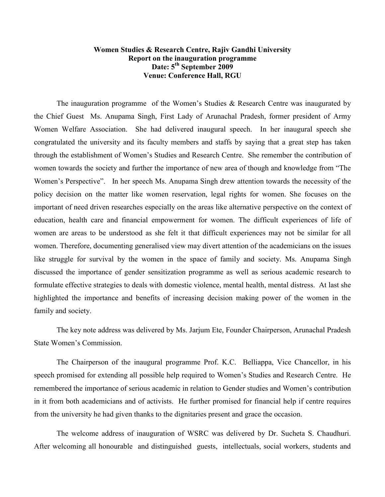## Women Studies & Research Centre, Rajiv Gandhi University Report on the inauguration programme Date: 5<sup>th</sup> September 2009 **Venue: Conference Hall, RGU**

The inauguration programme of the Women's Studies  $\&$  Research Centre was inaugurated by the Chief Guest Ms. Anupama Singh, First Lady of Arunachal Pradesh, former president of Army Women Welfare Association. She had delivered inaugural speech. In her inaugural speech she congratulated the university and its faculty members and staffs by saying that a great step has taken through the establishment of Women's Studies and Research Centre. She remember the contribution of women towards the society and further the importance of new area of though and knowledge from "The Women's Perspective". In her speech Ms. Anupama Singh drew attention towards the necessity of the policy decision on the matter like women reservation, legal rights for women. She focuses on the important of need driven researches especially on the areas like alternative perspective on the context of education, health care and financial empowerment for women. The difficult experiences of life of women are areas to be understood as she felt it that difficult experiences may not be similar for all women. Therefore, documenting generalised view may divert attention of the academicians on the issues like struggle for survival by the women in the space of family and society. Ms. Anupama Singh discussed the importance of gender sensitization programme as well as serious academic research to formulate effective strategies to deals with domestic violence, mental health, mental distress. At last she highlighted the importance and benefits of increasing decision making power of the women in the family and society.

The key note address was delivered by Ms. Jarjum Ete, Founder Chairperson, Arunachal Pradesh **State Women's Commission** 

The Chairperson of the inaugural programme Prof. K.C. Belliappa, Vice Chancellor, in his speech promised for extending all possible help required to Women's Studies and Research Centre. He remembered the importance of serious academic in relation to Gender studies and Women's contribution in it from both academicians and of activists. He further promised for financial help if centre requires from the university he had given thanks to the dignitaries present and grace the occasion.

The welcome address of inauguration of WSRC was delivered by Dr. Sucheta S. Chaudhuri. After welcoming all honourable and distinguished guests, intellectuals, social workers, students and